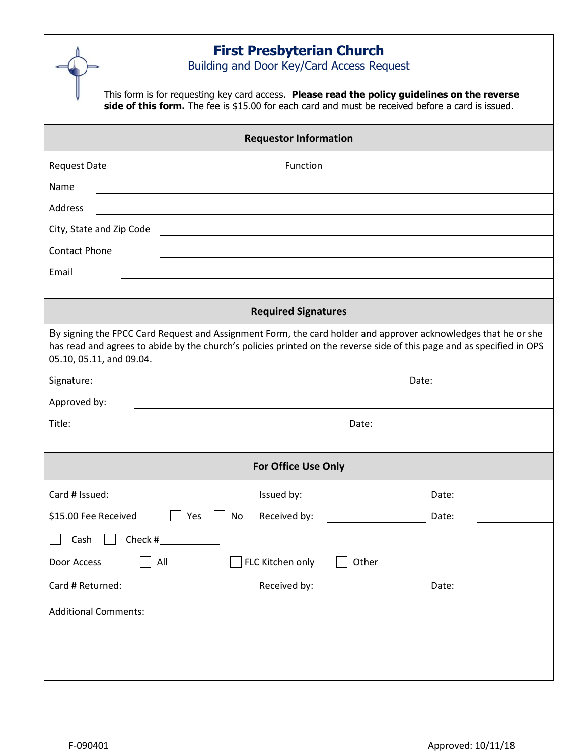| <b>First Presbyterian Church</b><br>Building and Door Key/Card Access Request                                                                                                                                                                                        |       |  |
|----------------------------------------------------------------------------------------------------------------------------------------------------------------------------------------------------------------------------------------------------------------------|-------|--|
| This form is for requesting key card access. Please read the policy guidelines on the reverse<br>side of this form. The fee is \$15.00 for each card and must be received before a card is issued.                                                                   |       |  |
| <b>Requestor Information</b>                                                                                                                                                                                                                                         |       |  |
| <b>Request Date</b><br><b>Function</b>                                                                                                                                                                                                                               |       |  |
| Name                                                                                                                                                                                                                                                                 |       |  |
| <b>Address</b>                                                                                                                                                                                                                                                       |       |  |
| City, State and Zip Code                                                                                                                                                                                                                                             |       |  |
| <b>Contact Phone</b>                                                                                                                                                                                                                                                 |       |  |
| Email                                                                                                                                                                                                                                                                |       |  |
|                                                                                                                                                                                                                                                                      |       |  |
| <b>Required Signatures</b>                                                                                                                                                                                                                                           |       |  |
| By signing the FPCC Card Request and Assignment Form, the card holder and approver acknowledges that he or she<br>has read and agrees to abide by the church's policies printed on the reverse side of this page and as specified in OPS<br>05.10, 05.11, and 09.04. |       |  |
| Signature:                                                                                                                                                                                                                                                           | Date: |  |
| Approved by:                                                                                                                                                                                                                                                         |       |  |
| Title:<br>Date:                                                                                                                                                                                                                                                      |       |  |
|                                                                                                                                                                                                                                                                      |       |  |
| <b>For Office Use Only</b>                                                                                                                                                                                                                                           |       |  |
| Issued by:<br>Card # Issued:<br><u> 1990 - John Barnett, fransk politiker (</u>                                                                                                                                                                                      | Date: |  |
| \$15.00 Fee Received<br>Yes<br>Received by:<br>No                                                                                                                                                                                                                    | Date: |  |
| Cash<br>Check #                                                                                                                                                                                                                                                      |       |  |
| FLC Kitchen only<br>Door Access<br>All<br>Other                                                                                                                                                                                                                      |       |  |
| Card # Returned:<br>Received by:                                                                                                                                                                                                                                     | Date: |  |
| <b>Additional Comments:</b>                                                                                                                                                                                                                                          |       |  |
|                                                                                                                                                                                                                                                                      |       |  |
|                                                                                                                                                                                                                                                                      |       |  |
|                                                                                                                                                                                                                                                                      |       |  |